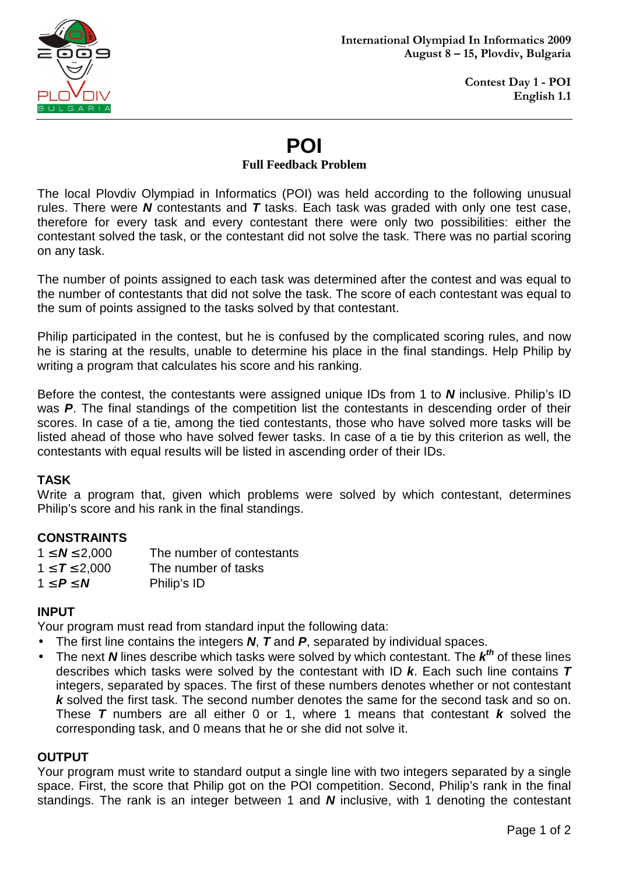

# **POI**

#### **Full Feedback Problem**

The local Plovdiv Olympiad in Informatics (POI) was held according to the following unusual rules. There were **N** contestants and **T** tasks. Each task was graded with only one test case, therefore for every task and every contestant there were only two possibilities: either the contestant solved the task, or the contestant did not solve the task. There was no partial scoring on any task.

The number of points assigned to each task was determined after the contest and was equal to the number of contestants that did not solve the task. The score of each contestant was equal to the sum of points assigned to the tasks solved by that contestant.

Philip participated in the contest, but he is confused by the complicated scoring rules, and now he is staring at the results, unable to determine his place in the final standings. Help Philip by writing a program that calculates his score and his ranking.

Before the contest, the contestants were assigned unique IDs from 1 to **N** inclusive. Philip's ID was **P**. The final standings of the competition list the contestants in descending order of their scores. In case of a tie, among the tied contestants, those who have solved more tasks will be listed ahead of those who have solved fewer tasks. In case of a tie by this criterion as well, the contestants with equal results will be listed in ascending order of their IDs.

## **TASK**

Write a program that, given which problems were solved by which contestant, determines Philip's score and his rank in the final standings.

## **CONSTRAINTS**

| $1 \le N \le 2,000$ | The number of contestants |
|---------------------|---------------------------|
| $1 \le T \le 2,000$ | The number of tasks       |
| $1 \le P \le N$     | Philip's ID               |

## **INPUT**

Your program must read from standard input the following data:

- The first line contains the integers **N**, **T** and **P**, separated by individual spaces.
- The next **N** lines describe which tasks were solved by which contestant. The  $k^{th}$  of these lines describes which tasks were solved by the contestant with ID **k**. Each such line contains **T** integers, separated by spaces. The first of these numbers denotes whether or not contestant **k** solved the first task. The second number denotes the same for the second task and so on. These **T** numbers are all either 0 or 1, where 1 means that contestant **k** solved the corresponding task, and 0 means that he or she did not solve it.

## **OUTPUT**

Your program must write to standard output a single line with two integers separated by a single space. First, the score that Philip got on the POI competition. Second, Philip's rank in the final standings. The rank is an integer between 1 and **N** inclusive, with 1 denoting the contestant